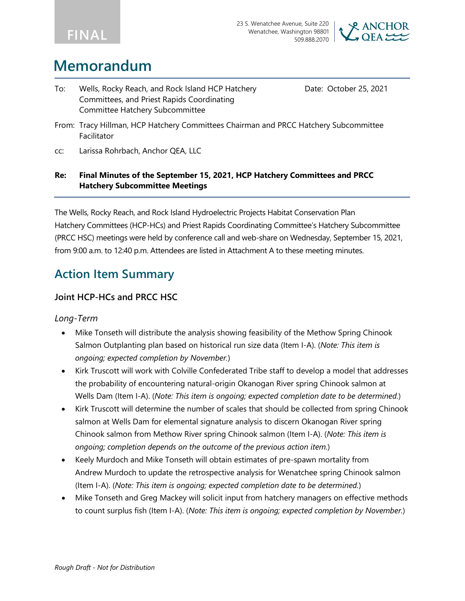



# **Memorandum**

To: Wells, Rocky Reach, and Rock Island HCP Hatchery Committees, and Priest Rapids Coordinating Committee Hatchery Subcommittee

Date: October 25, 2021

- From: Tracy Hillman, HCP Hatchery Committees Chairman and PRCC Hatchery Subcommittee Facilitator
- cc: Larissa Rohrbach, Anchor QEA, LLC

#### **Re: Final Minutes of the September 15, 2021, HCP Hatchery Committees and PRCC Hatchery Subcommittee Meetings**

The Wells, Rocky Reach, and Rock Island Hydroelectric Projects Habitat Conservation Plan Hatchery Committees (HCP-HCs) and Priest Rapids Coordinating Committee's Hatchery Subcommittee (PRCC HSC) meetings were held by conference call and web-share on Wednesday, September 15, 2021, from 9:00 a.m. to 12:40 p.m. Attendees are listed in Attachment A to these meeting minutes.

### **Action Item Summary**

#### **Joint HCP-HCs and PRCC HSC**

#### *Long-Term*

- Mike Tonseth will distribute the analysis showing feasibility of the Methow Spring Chinook Salmon Outplanting plan based on historical run size data (Item I-A). (*Note: This item is ongoing; expected completion by November.*)
- Kirk Truscott will work with Colville Confederated Tribe staff to develop a model that addresses the probability of encountering natural-origin Okanogan River spring Chinook salmon at Wells Dam (Item I-A). (*Note: This item is ongoing; expected completion date to be determined.*)
- Kirk Truscott will determine the number of scales that should be collected from spring Chinook salmon at Wells Dam for elemental signature analysis to discern Okanogan River spring Chinook salmon from Methow River spring Chinook salmon (Item I-A). (*Note: This item is ongoing; completion depends on the outcome of the previous action item.*)
- Keely Murdoch and Mike Tonseth will obtain estimates of pre-spawn mortality from Andrew Murdoch to update the retrospective analysis for Wenatchee spring Chinook salmon (Item I-A). (*Note: This item is ongoing; expected completion date to be determined.*)
- Mike Tonseth and Greg Mackey will solicit input from hatchery managers on effective methods to count surplus fish (Item I-A). (*Note: This item is ongoing; expected completion by November.*)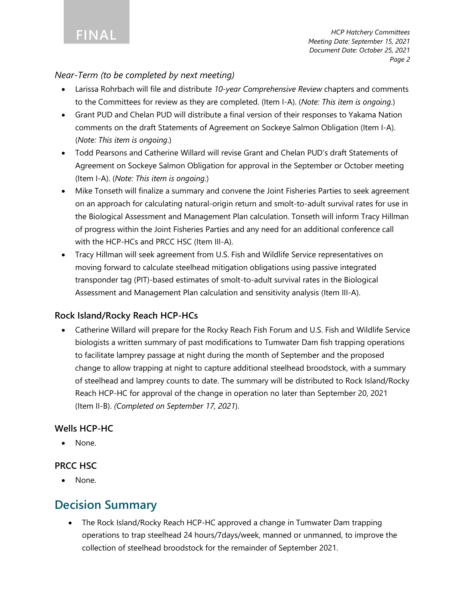#### *Near-Term (to be completed by next meeting)*

- Larissa Rohrbach will file and distribute *10-year Comprehensive Review* chapters and comments to the Committees for review as they are completed. (Item I-A). (*Note: This item is ongoing.*)
- Grant PUD and Chelan PUD will distribute a final version of their responses to Yakama Nation comments on the draft Statements of Agreement on Sockeye Salmon Obligation (Item I-A). (*Note: This item is ongoing*.)
- Todd Pearsons and Catherine Willard will revise Grant and Chelan PUD's draft Statements of Agreement on Sockeye Salmon Obligation for approval in the September or October meeting (Item I-A). (*Note: This item is ongoing.*)
- Mike Tonseth will finalize a summary and convene the Joint Fisheries Parties to seek agreement on an approach for calculating natural-origin return and smolt-to-adult survival rates for use in the Biological Assessment and Management Plan calculation. Tonseth will inform Tracy Hillman of progress within the Joint Fisheries Parties and any need for an additional conference call with the HCP-HCs and PRCC HSC (Item III-A).
- Tracy Hillman will seek agreement from U.S. Fish and Wildlife Service representatives on moving forward to calculate steelhead mitigation obligations using passive integrated transponder tag (PIT)-based estimates of smolt-to-adult survival rates in the Biological Assessment and Management Plan calculation and sensitivity analysis (Item III-A).

#### **Rock Island/Rocky Reach HCP-HCs**

• Catherine Willard will prepare for the Rocky Reach Fish Forum and U.S. Fish and Wildlife Service biologists a written summary of past modifications to Tumwater Dam fish trapping operations to facilitate lamprey passage at night during the month of September and the proposed change to allow trapping at night to capture additional steelhead broodstock, with a summary of steelhead and lamprey counts to date. The summary will be distributed to Rock Island/Rocky Reach HCP-HC for approval of the change in operation no later than September 20, 2021 (Item II-B). *(Completed on September 17, 2021*).

### **Wells HCP-HC**

None.

#### **PRCC HSC**

None.

### **Decision Summary**

• The Rock Island/Rocky Reach HCP-HC approved a change in Tumwater Dam trapping operations to trap steelhead 24 hours/7days/week, manned or unmanned, to improve the collection of steelhead broodstock for the remainder of September 2021.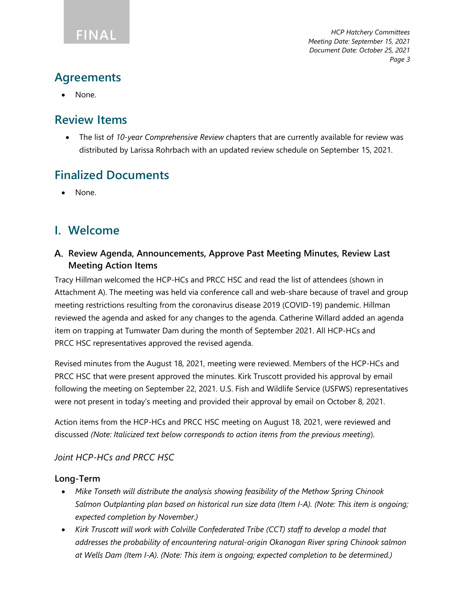### **Agreements**

• None.

### **Review Items**

• The list of *10-year Comprehensive Review* chapters that are currently available for review was distributed by Larissa Rohrbach with an updated review schedule on September 15, 2021.

## **Finalized Documents**

None.

### **I. Welcome**

#### **Review Agenda, Announcements, Approve Past Meeting Minutes, Review Last Meeting Action Items**

Tracy Hillman welcomed the HCP-HCs and PRCC HSC and read the list of attendees (shown in Attachment A). The meeting was held via conference call and web-share because of travel and group meeting restrictions resulting from the coronavirus disease 2019 (COVID-19) pandemic. Hillman reviewed the agenda and asked for any changes to the agenda. Catherine Willard added an agenda item on trapping at Tumwater Dam during the month of September 2021. All HCP-HCs and PRCC HSC representatives approved the revised agenda.

Revised minutes from the August 18, 2021, meeting were reviewed. Members of the HCP-HCs and PRCC HSC that were present approved the minutes. Kirk Truscott provided his approval by email following the meeting on September 22, 2021. U.S. Fish and Wildlife Service (USFWS) representatives were not present in today's meeting and provided their approval by email on October 8, 2021.

Action items from the HCP-HCs and PRCC HSC meeting on August 18, 2021, were reviewed and discussed *(Note: Italicized text below corresponds to action items from the previous meeting*).

### *Joint HCP-HCs and PRCC HSC*

#### **Long-Term**

- *Mike Tonseth will distribute the analysis showing feasibility of the Methow Spring Chinook Salmon Outplanting plan based on historical run size data (Item I-A). (Note: This item is ongoing; expected completion by November.)*
- *Kirk Truscott will work with Colville Confederated Tribe (CCT) staff to develop a model that addresses the probability of encountering natural-origin Okanogan River spring Chinook salmon at Wells Dam (Item I-A). (Note: This item is ongoing; expected completion to be determined.)*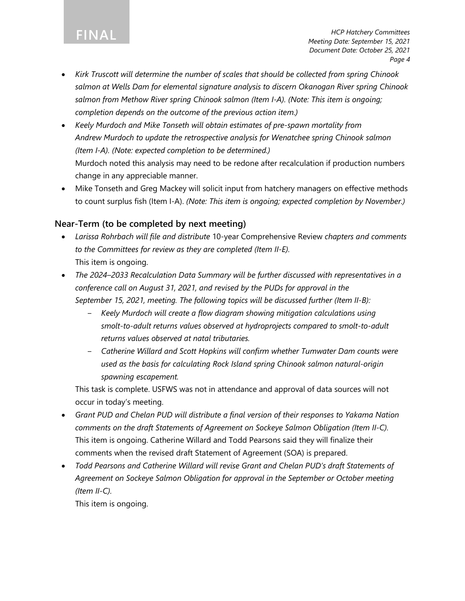- *Kirk Truscott will determine the number of scales that should be collected from spring Chinook salmon at Wells Dam for elemental signature analysis to discern Okanogan River spring Chinook salmon from Methow River spring Chinook salmon (Item I-A). (Note: This item is ongoing; completion depends on the outcome of the previous action item.)*
- *Keely Murdoch and Mike Tonseth will obtain estimates of pre-spawn mortality from Andrew Murdoch to update the retrospective analysis for Wenatchee spring Chinook salmon (Item I-A). (Note: expected completion to be determined.)* Murdoch noted this analysis may need to be redone after recalculation if production numbers change in any appreciable manner.
- Mike Tonseth and Greg Mackey will solicit input from hatchery managers on effective methods to count surplus fish (Item I-A). *(Note: This item is ongoing; expected completion by November.)*

#### **Near-Term (to be completed by next meeting)**

- *Larissa Rohrbach will file and distribute* 10-year Comprehensive Review *chapters and comments to the Committees for review as they are completed (Item II-E).* This item is ongoing.
- *The 2024–2033 Recalculation Data Summary will be further discussed with representatives in a conference call on August 31, 2021, and revised by the PUDs for approval in the September 15, 2021, meeting. The following topics will be discussed further (Item II-B):*
	- ‒ *Keely Murdoch will create a flow diagram showing mitigation calculations using smolt-to-adult returns values observed at hydroprojects compared to smolt-to-adult returns values observed at natal tributaries.*
	- ‒ *Catherine Willard and Scott Hopkins will confirm whether Tumwater Dam counts were used as the basis for calculating Rock Island spring Chinook salmon natural-origin spawning escapement.*

This task is complete. USFWS was not in attendance and approval of data sources will not occur in today's meeting.

- *Grant PUD and Chelan PUD will distribute a final version of their responses to Yakama Nation comments on the draft Statements of Agreement on Sockeye Salmon Obligation (Item II-C).*  This item is ongoing. Catherine Willard and Todd Pearsons said they will finalize their comments when the revised draft Statement of Agreement (SOA) is prepared.
- *Todd Pearsons and Catherine Willard will revise Grant and Chelan PUD's draft Statements of Agreement on Sockeye Salmon Obligation for approval in the September or October meeting (Item II-C).*

This item is ongoing.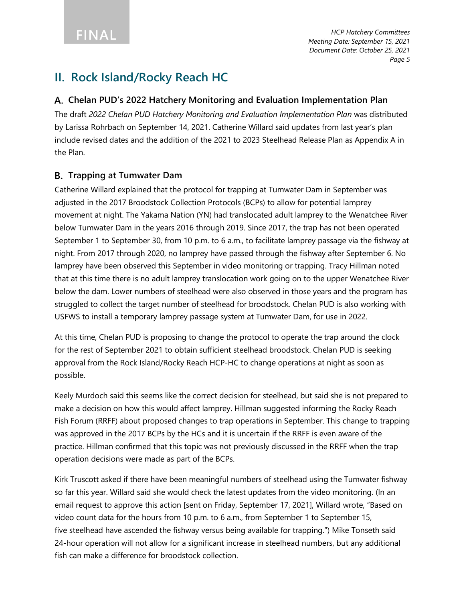### **II. Rock Island/Rocky Reach HC**

#### **Chelan PUD's 2022 Hatchery Monitoring and Evaluation Implementation Plan**

The draft *2022 Chelan PUD Hatchery Monitoring and Evaluation Implementation Plan* was distributed by Larissa Rohrbach on September 14, 2021. Catherine Willard said updates from last year's plan include revised dates and the addition of the 2021 to 2023 Steelhead Release Plan as Appendix A in the Plan.

#### **Trapping at Tumwater Dam**

Catherine Willard explained that the protocol for trapping at Tumwater Dam in September was adjusted in the 2017 Broodstock Collection Protocols (BCPs) to allow for potential lamprey movement at night. The Yakama Nation (YN) had translocated adult lamprey to the Wenatchee River below Tumwater Dam in the years 2016 through 2019. Since 2017, the trap has not been operated September 1 to September 30, from 10 p.m. to 6 a.m., to facilitate lamprey passage via the fishway at night. From 2017 through 2020, no lamprey have passed through the fishway after September 6. No lamprey have been observed this September in video monitoring or trapping. Tracy Hillman noted that at this time there is no adult lamprey translocation work going on to the upper Wenatchee River below the dam. Lower numbers of steelhead were also observed in those years and the program has struggled to collect the target number of steelhead for broodstock. Chelan PUD is also working with USFWS to install a temporary lamprey passage system at Tumwater Dam, for use in 2022.

At this time, Chelan PUD is proposing to change the protocol to operate the trap around the clock for the rest of September 2021 to obtain sufficient steelhead broodstock. Chelan PUD is seeking approval from the Rock Island/Rocky Reach HCP-HC to change operations at night as soon as possible.

Keely Murdoch said this seems like the correct decision for steelhead, but said she is not prepared to make a decision on how this would affect lamprey. Hillman suggested informing the Rocky Reach Fish Forum (RRFF) about proposed changes to trap operations in September. This change to trapping was approved in the 2017 BCPs by the HCs and it is uncertain if the RRFF is even aware of the practice. Hillman confirmed that this topic was not previously discussed in the RRFF when the trap operation decisions were made as part of the BCPs.

Kirk Truscott asked if there have been meaningful numbers of steelhead using the Tumwater fishway so far this year. Willard said she would check the latest updates from the video monitoring. (In an email request to approve this action [sent on Friday, September 17, 2021], Willard wrote, "Based on video count data for the hours from 10 p.m. to 6 a.m., from September 1 to September 15, five steelhead have ascended the fishway versus being available for trapping.") Mike Tonseth said 24-hour operation will not allow for a significant increase in steelhead numbers, but any additional fish can make a difference for broodstock collection.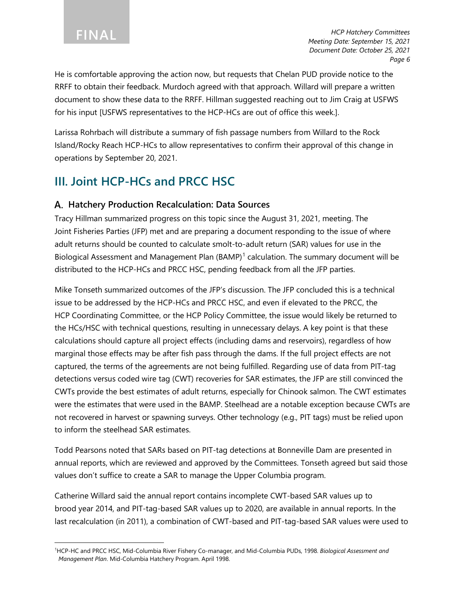He is comfortable approving the action now, but requests that Chelan PUD provide notice to the RRFF to obtain their feedback. Murdoch agreed with that approach. Willard will prepare a written document to show these data to the RRFF. Hillman suggested reaching out to Jim Craig at USFWS for his input [USFWS representatives to the HCP-HCs are out of office this week.].

Larissa Rohrbach will distribute a summary of fish passage numbers from Willard to the Rock Island/Rocky Reach HCP-HCs to allow representatives to confirm their approval of this change in operations by September 20, 2021.

### **III. Joint HCP-HCs and PRCC HSC**

#### **Hatchery Production Recalculation: Data Sources**

Tracy Hillman summarized progress on this topic since the August 31, 2021, meeting. The Joint Fisheries Parties (JFP) met and are preparing a document responding to the issue of where adult returns should be counted to calculate smolt-to-adult return (SAR) values for use in the Biological Assessment and Management Plan (BAMP)<sup>[1](#page-5-0)</sup> calculation. The summary document will be distributed to the HCP-HCs and PRCC HSC, pending feedback from all the JFP parties.

Mike Tonseth summarized outcomes of the JFP's discussion. The JFP concluded this is a technical issue to be addressed by the HCP-HCs and PRCC HSC, and even if elevated to the PRCC, the HCP Coordinating Committee, or the HCP Policy Committee, the issue would likely be returned to the HCs/HSC with technical questions, resulting in unnecessary delays. A key point is that these calculations should capture all project effects (including dams and reservoirs), regardless of how marginal those effects may be after fish pass through the dams. If the full project effects are not captured, the terms of the agreements are not being fulfilled. Regarding use of data from PIT-tag detections versus coded wire tag (CWT) recoveries for SAR estimates, the JFP are still convinced the CWTs provide the best estimates of adult returns, especially for Chinook salmon. The CWT estimates were the estimates that were used in the BAMP. Steelhead are a notable exception because CWTs are not recovered in harvest or spawning surveys. Other technology (e.g., PIT tags) must be relied upon to inform the steelhead SAR estimates.

Todd Pearsons noted that SARs based on PIT-tag detections at Bonneville Dam are presented in annual reports, which are reviewed and approved by the Committees. Tonseth agreed but said those values don't suffice to create a SAR to manage the Upper Columbia program.

Catherine Willard said the annual report contains incomplete CWT-based SAR values up to brood year 2014, and PIT-tag-based SAR values up to 2020, are available in annual reports. In the last recalculation (in 2011), a combination of CWT-based and PIT-tag-based SAR values were used to

<span id="page-5-0"></span><sup>1</sup> HCP-HC and PRCC HSC, Mid-Columbia River Fishery Co-manager, and Mid-Columbia PUDs, 1998. *Biological Assessment and Management Plan*. Mid-Columbia Hatchery Program. April 1998.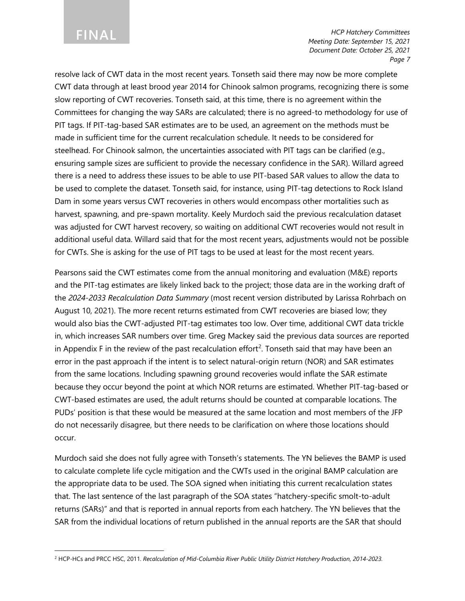### **FINAL**

*HCP Hatchery Committees Meeting Date: September 15, 2021 Document Date: October 25, 2021 Page 7*

resolve lack of CWT data in the most recent years. Tonseth said there may now be more complete CWT data through at least brood year 2014 for Chinook salmon programs, recognizing there is some slow reporting of CWT recoveries. Tonseth said, at this time, there is no agreement within the Committees for changing the way SARs are calculated; there is no agreed-to methodology for use of PIT tags. If PIT-tag-based SAR estimates are to be used, an agreement on the methods must be made in sufficient time for the current recalculation schedule. It needs to be considered for steelhead. For Chinook salmon, the uncertainties associated with PIT tags can be clarified (e.g., ensuring sample sizes are sufficient to provide the necessary confidence in the SAR). Willard agreed there is a need to address these issues to be able to use PIT-based SAR values to allow the data to be used to complete the dataset. Tonseth said, for instance, using PIT-tag detections to Rock Island Dam in some years versus CWT recoveries in others would encompass other mortalities such as harvest, spawning, and pre-spawn mortality. Keely Murdoch said the previous recalculation dataset was adjusted for CWT harvest recovery, so waiting on additional CWT recoveries would not result in additional useful data. Willard said that for the most recent years, adjustments would not be possible for CWTs. She is asking for the use of PIT tags to be used at least for the most recent years.

Pearsons said the CWT estimates come from the annual monitoring and evaluation (M&E) reports and the PIT-tag estimates are likely linked back to the project; those data are in the working draft of the *2024-2033 Recalculation Data Summary* (most recent version distributed by Larissa Rohrbach on August 10, 2021). The more recent returns estimated from CWT recoveries are biased low; they would also bias the CWT-adjusted PIT-tag estimates too low. Over time, additional CWT data trickle in, which increases SAR numbers over time. Greg Mackey said the previous data sources are reported in Appendix F in the review of the past recalculation effort<sup>[2](#page-6-0)</sup>. Tonseth said that may have been an error in the past approach if the intent is to select natural-origin return (NOR) and SAR estimates from the same locations. Including spawning ground recoveries would inflate the SAR estimate because they occur beyond the point at which NOR returns are estimated. Whether PIT-tag-based or CWT-based estimates are used, the adult returns should be counted at comparable locations. The PUDs' position is that these would be measured at the same location and most members of the JFP do not necessarily disagree, but there needs to be clarification on where those locations should occur.

Murdoch said she does not fully agree with Tonseth's statements. The YN believes the BAMP is used to calculate complete life cycle mitigation and the CWTs used in the original BAMP calculation are the appropriate data to be used. The SOA signed when initiating this current recalculation states that. The last sentence of the last paragraph of the SOA states "hatchery-specific smolt-to-adult returns (SARs)" and that is reported in annual reports from each hatchery. The YN believes that the SAR from the individual locations of return published in the annual reports are the SAR that should

<span id="page-6-0"></span><sup>2</sup> HCP-HCs and PRCC HSC, 2011. *Recalculation of Mid-Columbia River Public Utility District Hatchery Production, 2014-2023.*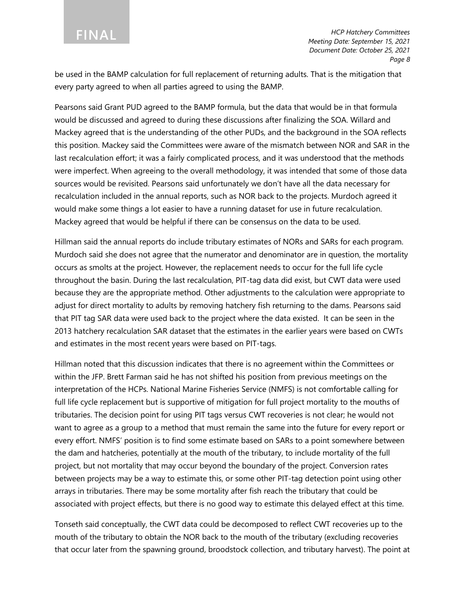be used in the BAMP calculation for full replacement of returning adults. That is the mitigation that every party agreed to when all parties agreed to using the BAMP.

Pearsons said Grant PUD agreed to the BAMP formula, but the data that would be in that formula would be discussed and agreed to during these discussions after finalizing the SOA. Willard and Mackey agreed that is the understanding of the other PUDs, and the background in the SOA reflects this position. Mackey said the Committees were aware of the mismatch between NOR and SAR in the last recalculation effort; it was a fairly complicated process, and it was understood that the methods were imperfect. When agreeing to the overall methodology, it was intended that some of those data sources would be revisited. Pearsons said unfortunately we don't have all the data necessary for recalculation included in the annual reports, such as NOR back to the projects. Murdoch agreed it would make some things a lot easier to have a running dataset for use in future recalculation. Mackey agreed that would be helpful if there can be consensus on the data to be used.

Hillman said the annual reports do include tributary estimates of NORs and SARs for each program. Murdoch said she does not agree that the numerator and denominator are in question, the mortality occurs as smolts at the project. However, the replacement needs to occur for the full life cycle throughout the basin. During the last recalculation, PIT-tag data did exist, but CWT data were used because they are the appropriate method. Other adjustments to the calculation were appropriate to adjust for direct mortality to adults by removing hatchery fish returning to the dams. Pearsons said that PIT tag SAR data were used back to the project where the data existed. It can be seen in the 2013 hatchery recalculation SAR dataset that the estimates in the earlier years were based on CWTs and estimates in the most recent years were based on PIT-tags.

Hillman noted that this discussion indicates that there is no agreement within the Committees or within the JFP. Brett Farman said he has not shifted his position from previous meetings on the interpretation of the HCPs. National Marine Fisheries Service (NMFS) is not comfortable calling for full life cycle replacement but is supportive of mitigation for full project mortality to the mouths of tributaries. The decision point for using PIT tags versus CWT recoveries is not clear; he would not want to agree as a group to a method that must remain the same into the future for every report or every effort. NMFS' position is to find some estimate based on SARs to a point somewhere between the dam and hatcheries, potentially at the mouth of the tributary, to include mortality of the full project, but not mortality that may occur beyond the boundary of the project. Conversion rates between projects may be a way to estimate this, or some other PIT-tag detection point using other arrays in tributaries. There may be some mortality after fish reach the tributary that could be associated with project effects, but there is no good way to estimate this delayed effect at this time.

Tonseth said conceptually, the CWT data could be decomposed to reflect CWT recoveries up to the mouth of the tributary to obtain the NOR back to the mouth of the tributary (excluding recoveries that occur later from the spawning ground, broodstock collection, and tributary harvest). The point at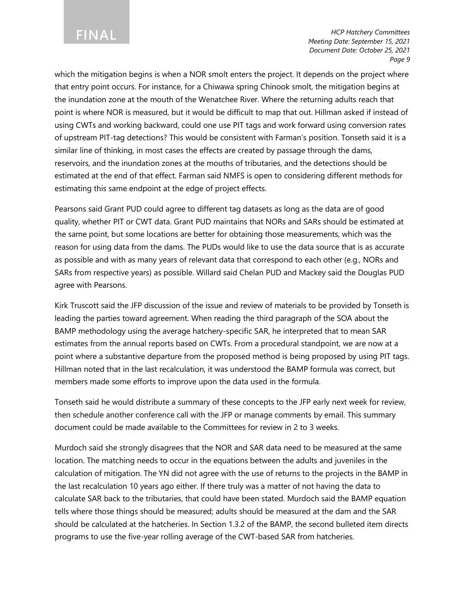which the mitigation begins is when a NOR smolt enters the project. It depends on the project where that entry point occurs. For instance, for a Chiwawa spring Chinook smolt, the mitigation begins at the inundation zone at the mouth of the Wenatchee River. Where the returning adults reach that point is where NOR is measured, but it would be difficult to map that out. Hillman asked if instead of using CWTs and working backward, could one use PIT tags and work forward using conversion rates of upstream PIT-tag detections? This would be consistent with Farman's position. Tonseth said it is a similar line of thinking, in most cases the effects are created by passage through the dams, reservoirs, and the inundation zones at the mouths of tributaries, and the detections should be estimated at the end of that effect. Farman said NMFS is open to considering different methods for estimating this same endpoint at the edge of project effects.

Pearsons said Grant PUD could agree to different tag datasets as long as the data are of good quality, whether PIT or CWT data. Grant PUD maintains that NORs and SARs should be estimated at the same point, but some locations are better for obtaining those measurements, which was the reason for using data from the dams. The PUDs would like to use the data source that is as accurate as possible and with as many years of relevant data that correspond to each other (e.g., NORs and SARs from respective years) as possible. Willard said Chelan PUD and Mackey said the Douglas PUD agree with Pearsons.

Kirk Truscott said the JFP discussion of the issue and review of materials to be provided by Tonseth is leading the parties toward agreement. When reading the third paragraph of the SOA about the BAMP methodology using the average hatchery-specific SAR, he interpreted that to mean SAR estimates from the annual reports based on CWTs. From a procedural standpoint, we are now at a point where a substantive departure from the proposed method is being proposed by using PIT tags. Hillman noted that in the last recalculation, it was understood the BAMP formula was correct, but members made some efforts to improve upon the data used in the formula.

Tonseth said he would distribute a summary of these concepts to the JFP early next week for review, then schedule another conference call with the JFP or manage comments by email. This summary document could be made available to the Committees for review in 2 to 3 weeks.

Murdoch said she strongly disagrees that the NOR and SAR data need to be measured at the same location. The matching needs to occur in the equations between the adults and juveniles in the calculation of mitigation. The YN did not agree with the use of returns to the projects in the BAMP in the last recalculation 10 years ago either. If there truly was a matter of not having the data to calculate SAR back to the tributaries, that could have been stated. Murdoch said the BAMP equation tells where those things should be measured; adults should be measured at the dam and the SAR should be calculated at the hatcheries. In Section 1.3.2 of the BAMP, the second bulleted item directs programs to use the five-year rolling average of the CWT-based SAR from hatcheries.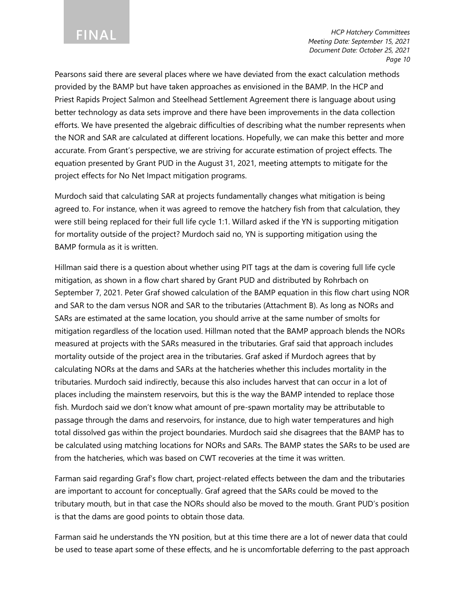Pearsons said there are several places where we have deviated from the exact calculation methods provided by the BAMP but have taken approaches as envisioned in the BAMP. In the HCP and Priest Rapids Project Salmon and Steelhead Settlement Agreement there is language about using better technology as data sets improve and there have been improvements in the data collection efforts. We have presented the algebraic difficulties of describing what the number represents when the NOR and SAR are calculated at different locations. Hopefully, we can make this better and more accurate. From Grant's perspective, we are striving for accurate estimation of project effects. The equation presented by Grant PUD in the August 31, 2021, meeting attempts to mitigate for the project effects for No Net Impact mitigation programs.

Murdoch said that calculating SAR at projects fundamentally changes what mitigation is being agreed to. For instance, when it was agreed to remove the hatchery fish from that calculation, they were still being replaced for their full life cycle 1:1. Willard asked if the YN is supporting mitigation for mortality outside of the project? Murdoch said no, YN is supporting mitigation using the BAMP formula as it is written.

Hillman said there is a question about whether using PIT tags at the dam is covering full life cycle mitigation, as shown in a flow chart shared by Grant PUD and distributed by Rohrbach on September 7, 2021. Peter Graf showed calculation of the BAMP equation in this flow chart using NOR and SAR to the dam versus NOR and SAR to the tributaries (Attachment B). As long as NORs and SARs are estimated at the same location, you should arrive at the same number of smolts for mitigation regardless of the location used. Hillman noted that the BAMP approach blends the NORs measured at projects with the SARs measured in the tributaries. Graf said that approach includes mortality outside of the project area in the tributaries. Graf asked if Murdoch agrees that by calculating NORs at the dams and SARs at the hatcheries whether this includes mortality in the tributaries. Murdoch said indirectly, because this also includes harvest that can occur in a lot of places including the mainstem reservoirs, but this is the way the BAMP intended to replace those fish. Murdoch said we don't know what amount of pre-spawn mortality may be attributable to passage through the dams and reservoirs, for instance, due to high water temperatures and high total dissolved gas within the project boundaries. Murdoch said she disagrees that the BAMP has to be calculated using matching locations for NORs and SARs. The BAMP states the SARs to be used are from the hatcheries, which was based on CWT recoveries at the time it was written.

Farman said regarding Graf's flow chart, project-related effects between the dam and the tributaries are important to account for conceptually. Graf agreed that the SARs could be moved to the tributary mouth, but in that case the NORs should also be moved to the mouth. Grant PUD's position is that the dams are good points to obtain those data.

Farman said he understands the YN position, but at this time there are a lot of newer data that could be used to tease apart some of these effects, and he is uncomfortable deferring to the past approach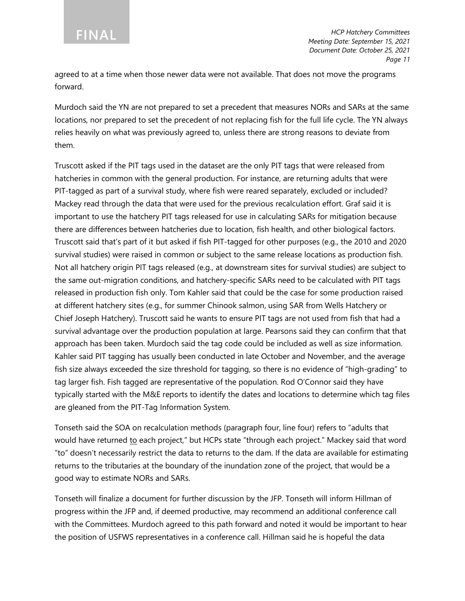agreed to at a time when those newer data were not available. That does not move the programs forward.

Murdoch said the YN are not prepared to set a precedent that measures NORs and SARs at the same locations, nor prepared to set the precedent of not replacing fish for the full life cycle. The YN always relies heavily on what was previously agreed to, unless there are strong reasons to deviate from them.

Truscott asked if the PIT tags used in the dataset are the only PIT tags that were released from hatcheries in common with the general production. For instance, are returning adults that were PIT-tagged as part of a survival study, where fish were reared separately, excluded or included? Mackey read through the data that were used for the previous recalculation effort. Graf said it is important to use the hatchery PIT tags released for use in calculating SARs for mitigation because there are differences between hatcheries due to location, fish health, and other biological factors. Truscott said that's part of it but asked if fish PIT-tagged for other purposes (e.g., the 2010 and 2020 survival studies) were raised in common or subject to the same release locations as production fish. Not all hatchery origin PIT tags released (e.g., at downstream sites for survival studies) are subject to the same out-migration conditions, and hatchery-specific SARs need to be calculated with PIT tags released in production fish only. Tom Kahler said that could be the case for some production raised at different hatchery sites (e.g., for summer Chinook salmon, using SAR from Wells Hatchery or Chief Joseph Hatchery). Truscott said he wants to ensure PIT tags are not used from fish that had a survival advantage over the production population at large. Pearsons said they can confirm that that approach has been taken. Murdoch said the tag code could be included as well as size information. Kahler said PIT tagging has usually been conducted in late October and November, and the average fish size always exceeded the size threshold for tagging, so there is no evidence of "high-grading" to tag larger fish. Fish tagged are representative of the population. Rod O'Connor said they have typically started with the M&E reports to identify the dates and locations to determine which tag files are gleaned from the PIT-Tag Information System.

Tonseth said the SOA on recalculation methods (paragraph four, line four) refers to "adults that would have returned to each project," but HCPs state "through each project." Mackey said that word "to" doesn't necessarily restrict the data to returns to the dam. If the data are available for estimating returns to the tributaries at the boundary of the inundation zone of the project, that would be a good way to estimate NORs and SARs.

Tonseth will finalize a document for further discussion by the JFP. Tonseth will inform Hillman of progress within the JFP and, if deemed productive, may recommend an additional conference call with the Committees. Murdoch agreed to this path forward and noted it would be important to hear the position of USFWS representatives in a conference call. Hillman said he is hopeful the data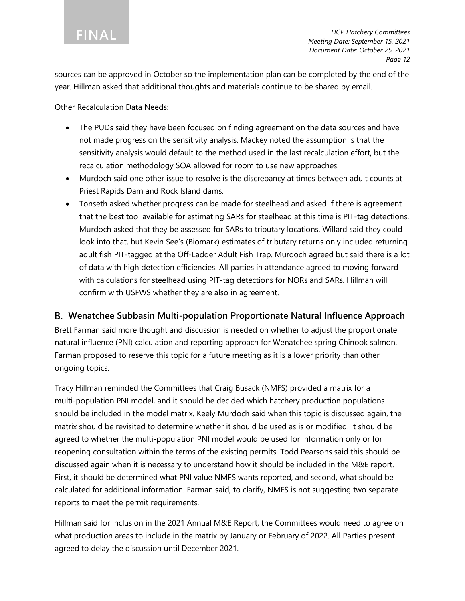sources can be approved in October so the implementation plan can be completed by the end of the year. Hillman asked that additional thoughts and materials continue to be shared by email.

Other Recalculation Data Needs:

- The PUDs said they have been focused on finding agreement on the data sources and have not made progress on the sensitivity analysis. Mackey noted the assumption is that the sensitivity analysis would default to the method used in the last recalculation effort, but the recalculation methodology SOA allowed for room to use new approaches.
- Murdoch said one other issue to resolve is the discrepancy at times between adult counts at Priest Rapids Dam and Rock Island dams.
- Tonseth asked whether progress can be made for steelhead and asked if there is agreement that the best tool available for estimating SARs for steelhead at this time is PIT-tag detections. Murdoch asked that they be assessed for SARs to tributary locations. Willard said they could look into that, but Kevin See's (Biomark) estimates of tributary returns only included returning adult fish PIT-tagged at the Off-Ladder Adult Fish Trap. Murdoch agreed but said there is a lot of data with high detection efficiencies. All parties in attendance agreed to moving forward with calculations for steelhead using PIT-tag detections for NORs and SARs. Hillman will confirm with USFWS whether they are also in agreement.

#### **Wenatchee Subbasin Multi-population Proportionate Natural Influence Approach**

Brett Farman said more thought and discussion is needed on whether to adjust the proportionate natural influence (PNI) calculation and reporting approach for Wenatchee spring Chinook salmon. Farman proposed to reserve this topic for a future meeting as it is a lower priority than other ongoing topics.

Tracy Hillman reminded the Committees that Craig Busack (NMFS) provided a matrix for a multi-population PNI model, and it should be decided which hatchery production populations should be included in the model matrix. Keely Murdoch said when this topic is discussed again, the matrix should be revisited to determine whether it should be used as is or modified. It should be agreed to whether the multi-population PNI model would be used for information only or for reopening consultation within the terms of the existing permits. Todd Pearsons said this should be discussed again when it is necessary to understand how it should be included in the M&E report. First, it should be determined what PNI value NMFS wants reported, and second, what should be calculated for additional information. Farman said, to clarify, NMFS is not suggesting two separate reports to meet the permit requirements.

Hillman said for inclusion in the 2021 Annual M&E Report, the Committees would need to agree on what production areas to include in the matrix by January or February of 2022. All Parties present agreed to delay the discussion until December 2021.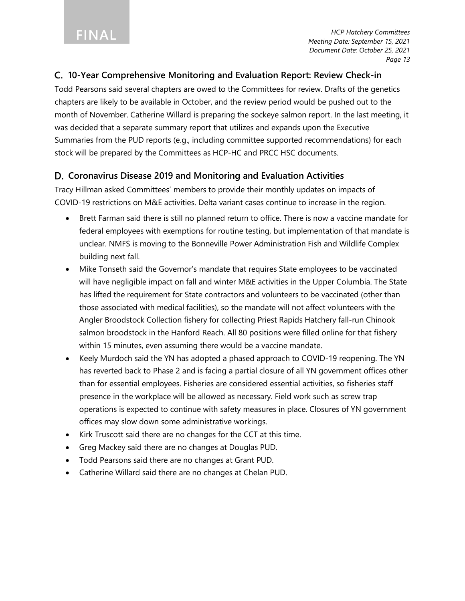#### **10-Year Comprehensive Monitoring and Evaluation Report: Review Check-in**

Todd Pearsons said several chapters are owed to the Committees for review. Drafts of the genetics chapters are likely to be available in October, and the review period would be pushed out to the month of November. Catherine Willard is preparing the sockeye salmon report. In the last meeting, it was decided that a separate summary report that utilizes and expands upon the Executive Summaries from the PUD reports (e.g., including committee supported recommendations) for each stock will be prepared by the Committees as HCP-HC and PRCC HSC documents.

#### **Coronavirus Disease 2019 and Monitoring and Evaluation Activities**

Tracy Hillman asked Committees' members to provide their monthly updates on impacts of COVID-19 restrictions on M&E activities. Delta variant cases continue to increase in the region.

- Brett Farman said there is still no planned return to office. There is now a vaccine mandate for federal employees with exemptions for routine testing, but implementation of that mandate is unclear. NMFS is moving to the Bonneville Power Administration Fish and Wildlife Complex building next fall.
- Mike Tonseth said the Governor's mandate that requires State employees to be vaccinated will have negligible impact on fall and winter M&E activities in the Upper Columbia. The State has lifted the requirement for State contractors and volunteers to be vaccinated (other than those associated with medical facilities), so the mandate will not affect volunteers with the Angler Broodstock Collection fishery for collecting Priest Rapids Hatchery fall-run Chinook salmon broodstock in the Hanford Reach. All 80 positions were filled online for that fishery within 15 minutes, even assuming there would be a vaccine mandate.
- Keely Murdoch said the YN has adopted a phased approach to COVID-19 reopening. The YN has reverted back to Phase 2 and is facing a partial closure of all YN government offices other than for essential employees. Fisheries are considered essential activities, so fisheries staff presence in the workplace will be allowed as necessary. Field work such as screw trap operations is expected to continue with safety measures in place. Closures of YN government offices may slow down some administrative workings.
- Kirk Truscott said there are no changes for the CCT at this time.
- Greg Mackey said there are no changes at Douglas PUD.
- Todd Pearsons said there are no changes at Grant PUD.
- Catherine Willard said there are no changes at Chelan PUD.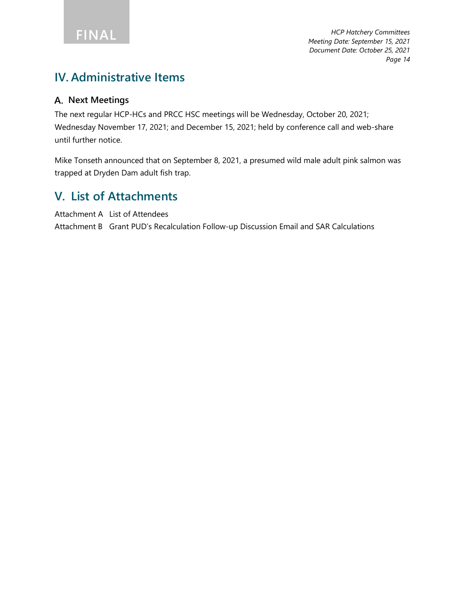### **IV. Administrative Items**

#### **Next Meetings**

The next regular HCP-HCs and PRCC HSC meetings will be Wednesday, October 20, 2021; Wednesday November 17, 2021; and December 15, 2021; held by conference call and web-share until further notice.

Mike Tonseth announced that on September 8, 2021, a presumed wild male adult pink salmon was trapped at Dryden Dam adult fish trap.

### **V. List of Attachments**

Attachment A List of Attendees

Attachment B Grant PUD's Recalculation Follow-up Discussion Email and SAR Calculations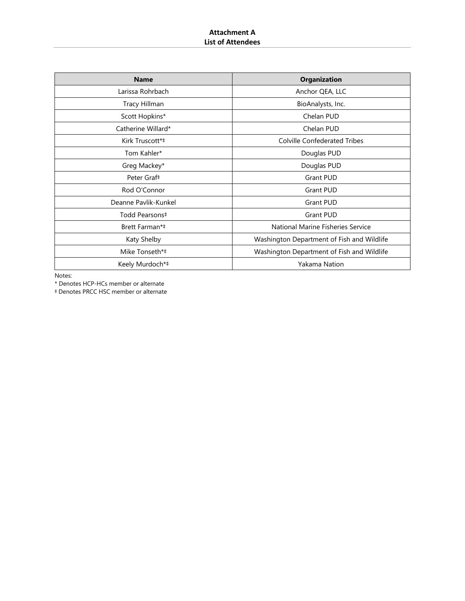| <b>Name</b>                | <b>Organization</b>                        |
|----------------------------|--------------------------------------------|
| Larissa Rohrbach           | Anchor QEA, LLC                            |
| Tracy Hillman              | BioAnalysts, Inc.                          |
| Scott Hopkins*             | Chelan PUD                                 |
| Catherine Willard*         | Chelan PUD                                 |
| Kirk Truscott*‡            | <b>Colville Confederated Tribes</b>        |
| Tom Kahler*                | Douglas PUD                                |
| Greg Mackey*               | Douglas PUD                                |
| Peter Graf <sup>#</sup>    | <b>Grant PUD</b>                           |
| Rod O'Connor               | <b>Grant PUD</b>                           |
| Deanne Pavlik-Kunkel       | <b>Grant PUD</b>                           |
| Todd Pearsons <sup>‡</sup> | <b>Grant PUD</b>                           |
| Brett Farman*#             | National Marine Fisheries Service          |
| Katy Shelby                | Washington Department of Fish and Wildlife |
| Mike Tonseth*‡             | Washington Department of Fish and Wildlife |
| Keely Murdoch*‡            | Yakama Nation                              |

Notes:

\* Denotes HCP-HCs member or alternate

‡ Denotes PRCC HSC member or alternate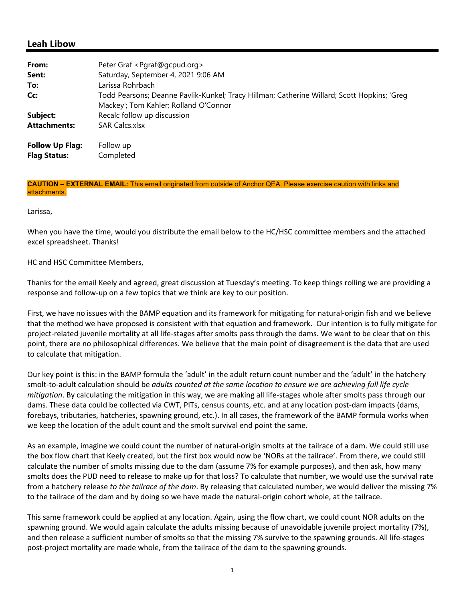#### **Leah Libow**

| From:                                         | Peter Graf <pgraf@gcpud.org></pgraf@gcpud.org>                                                                                       |
|-----------------------------------------------|--------------------------------------------------------------------------------------------------------------------------------------|
| Sent:                                         | Saturday, September 4, 2021 9:06 AM                                                                                                  |
| To:                                           | Larissa Rohrbach                                                                                                                     |
| Cc:                                           | Todd Pearsons; Deanne Pavlik-Kunkel; Tracy Hillman; Catherine Willard; Scott Hopkins; 'Greg<br>Mackey'; Tom Kahler; Rolland O'Connor |
| Subject:                                      | Recalc follow up discussion                                                                                                          |
| <b>Attachments:</b>                           | <b>SAR Calcs.xlsx</b>                                                                                                                |
| <b>Follow Up Flag:</b><br><b>Flag Status:</b> | Follow up<br>Completed                                                                                                               |

**CAUTION – EXTERNAL EMAIL:** This email originated from outside of Anchor QEA. Please exercise caution with links and attachments.

Larissa,

When you have the time, would you distribute the email below to the HC/HSC committee members and the attached excel spreadsheet. Thanks!

HC and HSC Committee Members,

Thanks for the email Keely and agreed, great discussion at Tuesday's meeting. To keep things rolling we are providing a response and follow‐up on a few topics that we think are key to our position.

First, we have no issues with the BAMP equation and its framework for mitigating for natural‐origin fish and we believe that the method we have proposed is consistent with that equation and framework. Our intention is to fully mitigate for project-related juvenile mortality at all life-stages after smolts pass through the dams. We want to be clear that on this point, there are no philosophical differences. We believe that the main point of disagreement is the data that are used to calculate that mitigation.

Our key point is this: in the BAMP formula the 'adult' in the adult return count number and the 'adult' in the hatchery smolt‐to‐adult calculation should be *adults counted at the same location to ensure we are achieving full life cycle mitigation*. By calculating the mitigation in this way, we are making all life‐stages whole after smolts pass through our dams. These data could be collected via CWT, PITs, census counts, etc. and at any location post-dam impacts (dams, forebays, tributaries, hatcheries, spawning ground, etc.). In all cases, the framework of the BAMP formula works when we keep the location of the adult count and the smolt survival end point the same.

As an example, imagine we could count the number of natural‐origin smolts at the tailrace of a dam. We could still use the box flow chart that Keely created, but the first box would now be 'NORs at the tailrace'. From there, we could still calculate the number of smolts missing due to the dam (assume 7% for example purposes), and then ask, how many smolts does the PUD need to release to make up for that loss? To calculate that number, we would use the survival rate from a hatchery release *to the tailrace of the dam*. By releasing that calculated number, we would deliver the missing 7% to the tailrace of the dam and by doing so we have made the natural‐origin cohort whole, at the tailrace.

This same framework could be applied at any location. Again, using the flow chart, we could count NOR adults on the spawning ground. We would again calculate the adults missing because of unavoidable juvenile project mortality (7%), and then release a sufficient number of smolts so that the missing 7% survive to the spawning grounds. All life-stages post‐project mortality are made whole, from the tailrace of the dam to the spawning grounds.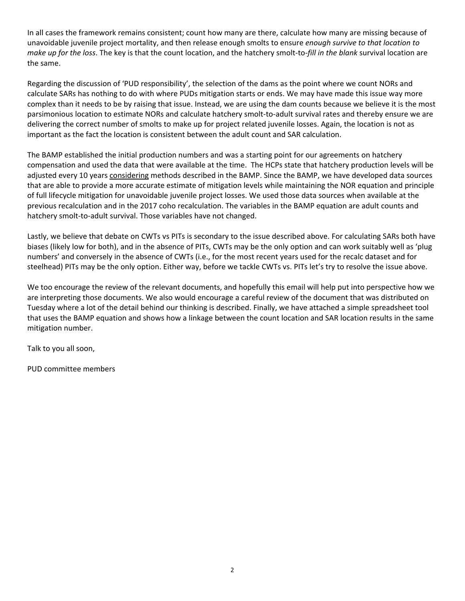In all cases the framework remains consistent; count how many are there, calculate how many are missing because of unavoidable juvenile project mortality, and then release enough smolts to ensure *enough survive to that location to make up for the loss*. The key is that the count location, and the hatchery smolt‐to‐*fill in the blank* survival location are the same.

Regarding the discussion of 'PUD responsibility', the selection of the dams as the point where we count NORs and calculate SARs has nothing to do with where PUDs mitigation starts or ends. We may have made this issue way more complex than it needs to be by raising that issue. Instead, we are using the dam counts because we believe it is the most parsimonious location to estimate NORs and calculate hatchery smolt‐to‐adult survival rates and thereby ensure we are delivering the correct number of smolts to make up for project related juvenile losses. Again, the location is not as important as the fact the location is consistent between the adult count and SAR calculation.

The BAMP established the initial production numbers and was a starting point for our agreements on hatchery compensation and used the data that were available at the time. The HCPs state that hatchery production levels will be adjusted every 10 years considering methods described in the BAMP. Since the BAMP, we have developed data sources that are able to provide a more accurate estimate of mitigation levels while maintaining the NOR equation and principle of full lifecycle mitigation for unavoidable juvenile project losses. We used those data sources when available at the previous recalculation and in the 2017 coho recalculation. The variables in the BAMP equation are adult counts and hatchery smolt-to-adult survival. Those variables have not changed.

Lastly, we believe that debate on CWTs vs PITs is secondary to the issue described above. For calculating SARs both have biases (likely low for both), and in the absence of PITs, CWTs may be the only option and can work suitably well as 'plug numbers' and conversely in the absence of CWTs (i.e., for the most recent years used for the recalc dataset and for steelhead) PITs may be the only option. Either way, before we tackle CWTs vs. PITs let's try to resolve the issue above.

We too encourage the review of the relevant documents, and hopefully this email will help put into perspective how we are interpreting those documents. We also would encourage a careful review of the document that was distributed on Tuesday where a lot of the detail behind our thinking is described. Finally, we have attached a simple spreadsheet tool that uses the BAMP equation and shows how a linkage between the count location and SAR location results in the same mitigation number.

Talk to you all soon,

PUD committee members